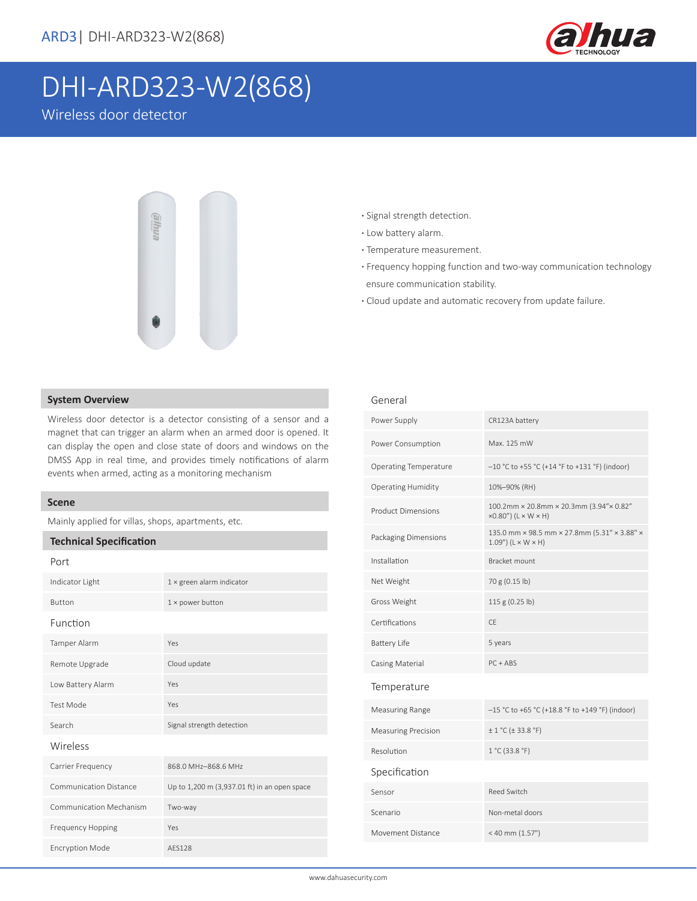

# DHI-ARD323-W2(868)

Wireless door detector



- **·** Signal strength detection.
- **·** Low battery alarm.
- **·** Temperature measurement.
- **·** Frequency hopping function and two-way communication technology ensure communication stability.
- **·** Cloud update and automatic recovery from update failure.

### **System Overview**

Wireless door detector is a detector consisting of a sensor and a magnet that can trigger an alarm when an armed door is opened. It can display the open and close state of doors and windows on the DMSS App in real time, and provides timely notifications of alarm events when armed, acting as a monitoring mechanism

### **Scene**

Mainly applied for villas, shops, apartments, etc.

### **Technical Specification**

| Port                          |                                              |  |
|-------------------------------|----------------------------------------------|--|
| Indicator Light               | $1 \times$ green alarm indicator             |  |
| <b>Button</b>                 | $1 \times$ power button                      |  |
| Function                      |                                              |  |
| Tamper Alarm                  | Yes                                          |  |
| Remote Upgrade                | Cloud update                                 |  |
| Low Battery Alarm             | Yes                                          |  |
| <b>Test Mode</b>              | Yes                                          |  |
| Search                        | Signal strength detection                    |  |
| Wireless                      |                                              |  |
| Carrier Frequency             | 868.0 MHz-868.6 MHz                          |  |
| <b>Communication Distance</b> | Up to 1,200 m (3,937.01 ft) in an open space |  |
| Communication Mechanism       | Two-way                                      |  |
| <b>Frequency Hopping</b>      | Yes                                          |  |
| <b>Encryption Mode</b>        | AFS128                                       |  |

| Power Supply                 | CR123A battery                                                                       |  |
|------------------------------|--------------------------------------------------------------------------------------|--|
| Power Consumption            | Max. 125 mW                                                                          |  |
| <b>Operating Temperature</b> | -10 °C to +55 °C (+14 °F to +131 °F) (indoor)                                        |  |
| <b>Operating Humidity</b>    | 10%-90% (RH)                                                                         |  |
| <b>Product Dimensions</b>    | 100.2mm × 20.8mm × 20.3mm (3.94"× 0.82"<br>$\times$ 0.80") (L $\times$ W $\times$ H) |  |
| Packaging Dimensions         | 135.0 mm × 98.5 mm × 27.8mm (5.31" × 3.88" ×<br>$1.09$ ") ( $L \times W \times H$ )  |  |
| Installation                 | Bracket mount                                                                        |  |
| Net Weight                   | 70 g (0.15 lb)                                                                       |  |
| Gross Weight                 | 115 g (0.25 lb)                                                                      |  |
| Certifications               | CF.                                                                                  |  |
| <b>Battery Life</b>          | 5 years                                                                              |  |
| Casing Material              | $PC + ABS$                                                                           |  |
| Temperature                  |                                                                                      |  |
| <b>Measuring Range</b>       | -15 °C to +65 °C (+18.8 °F to +149 °F) (indoor)                                      |  |
| <b>Measuring Precision</b>   | ± 1 °C (± 33.8 °F)                                                                   |  |
| Resolution                   | 1 °C (33.8 °F)                                                                       |  |
| Specification                |                                                                                      |  |
| Sensor                       | Reed Switch                                                                          |  |
| Scenario                     | Non-metal doors                                                                      |  |
| Movement Distance            | < 40 mm (1.57")                                                                      |  |